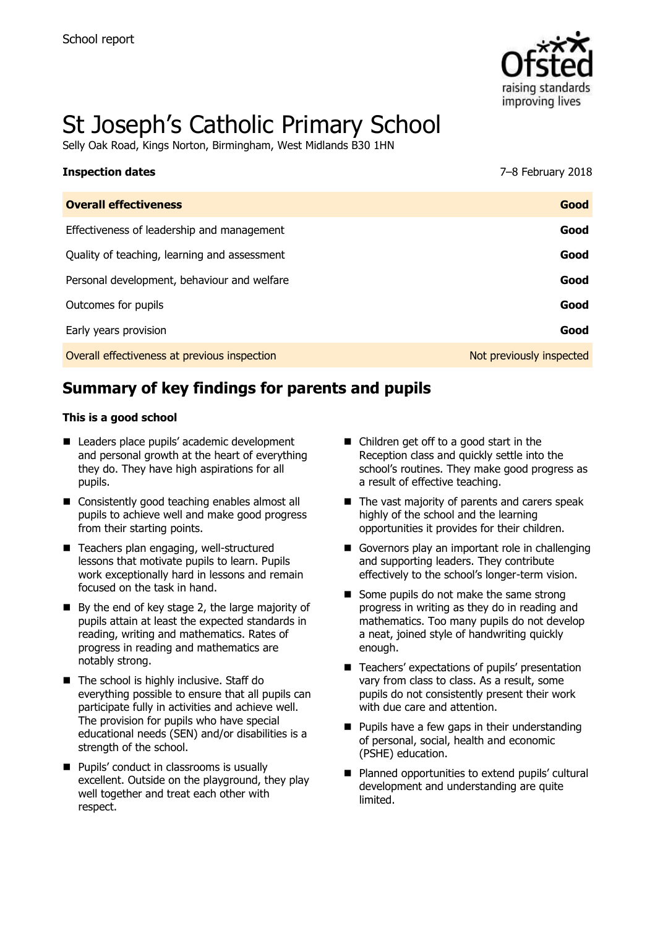

# St Joseph's Catholic Primary School

Selly Oak Road, Kings Norton, Birmingham, West Midlands B30 1HN

| <b>Inspection dates</b>                      | 7-8 February 2018        |
|----------------------------------------------|--------------------------|
| <b>Overall effectiveness</b>                 | Good                     |
| Effectiveness of leadership and management   | Good                     |
| Quality of teaching, learning and assessment | Good                     |
| Personal development, behaviour and welfare  | Good                     |
| Outcomes for pupils                          | Good                     |
| Early years provision                        | Good                     |
| Overall effectiveness at previous inspection | Not previously inspected |

# **Summary of key findings for parents and pupils**

#### **This is a good school**

- Leaders place pupils' academic development and personal growth at the heart of everything they do. They have high aspirations for all pupils.
- Consistently good teaching enables almost all pupils to achieve well and make good progress from their starting points.
- Teachers plan engaging, well-structured lessons that motivate pupils to learn. Pupils work exceptionally hard in lessons and remain focused on the task in hand.
- $\blacksquare$  By the end of key stage 2, the large majority of pupils attain at least the expected standards in reading, writing and mathematics. Rates of progress in reading and mathematics are notably strong.
- The school is highly inclusive. Staff do everything possible to ensure that all pupils can participate fully in activities and achieve well. The provision for pupils who have special educational needs (SEN) and/or disabilities is a strength of the school.
- **Pupils' conduct in classrooms is usually** excellent. Outside on the playground, they play well together and treat each other with respect.
- Children get off to a good start in the Reception class and quickly settle into the school's routines. They make good progress as a result of effective teaching.
- The vast majority of parents and carers speak highly of the school and the learning opportunities it provides for their children.
- Governors play an important role in challenging and supporting leaders. They contribute effectively to the school's longer-term vision.
- Some pupils do not make the same strong progress in writing as they do in reading and mathematics. Too many pupils do not develop a neat, joined style of handwriting quickly enough.
- Teachers' expectations of pupils' presentation vary from class to class. As a result, some pupils do not consistently present their work with due care and attention.
- $\blacksquare$  Pupils have a few gaps in their understanding of personal, social, health and economic (PSHE) education.
- Planned opportunities to extend pupils' cultural development and understanding are quite **limited**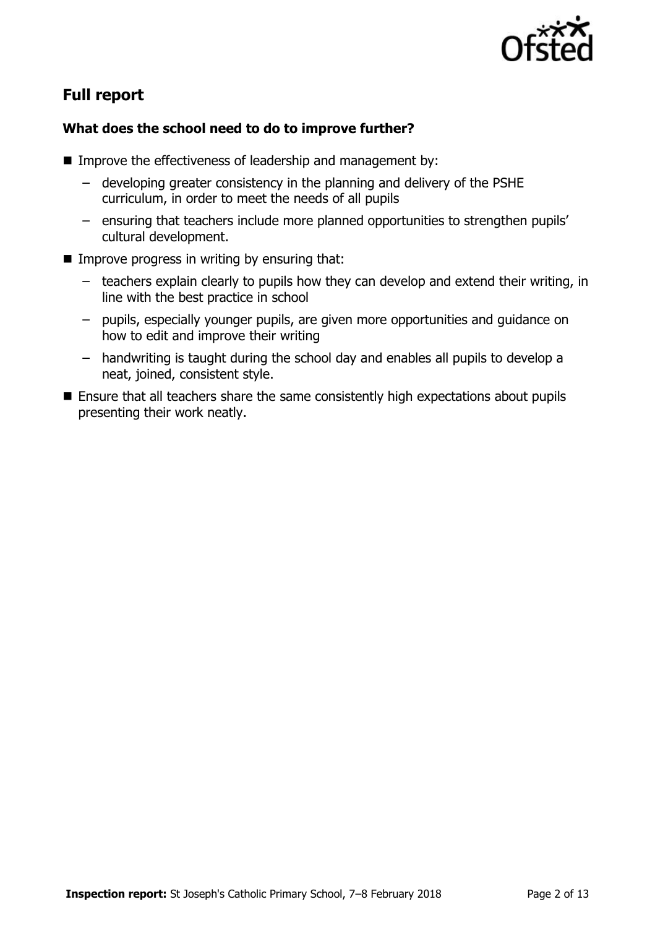

# **Full report**

#### **What does the school need to do to improve further?**

- Improve the effectiveness of leadership and management by:
	- developing greater consistency in the planning and delivery of the PSHE curriculum, in order to meet the needs of all pupils
	- ensuring that teachers include more planned opportunities to strengthen pupils' cultural development.
- $\blacksquare$  Improve progress in writing by ensuring that:
	- teachers explain clearly to pupils how they can develop and extend their writing, in line with the best practice in school
	- pupils, especially younger pupils, are given more opportunities and guidance on how to edit and improve their writing
	- handwriting is taught during the school day and enables all pupils to develop a neat, joined, consistent style.
- Ensure that all teachers share the same consistently high expectations about pupils presenting their work neatly.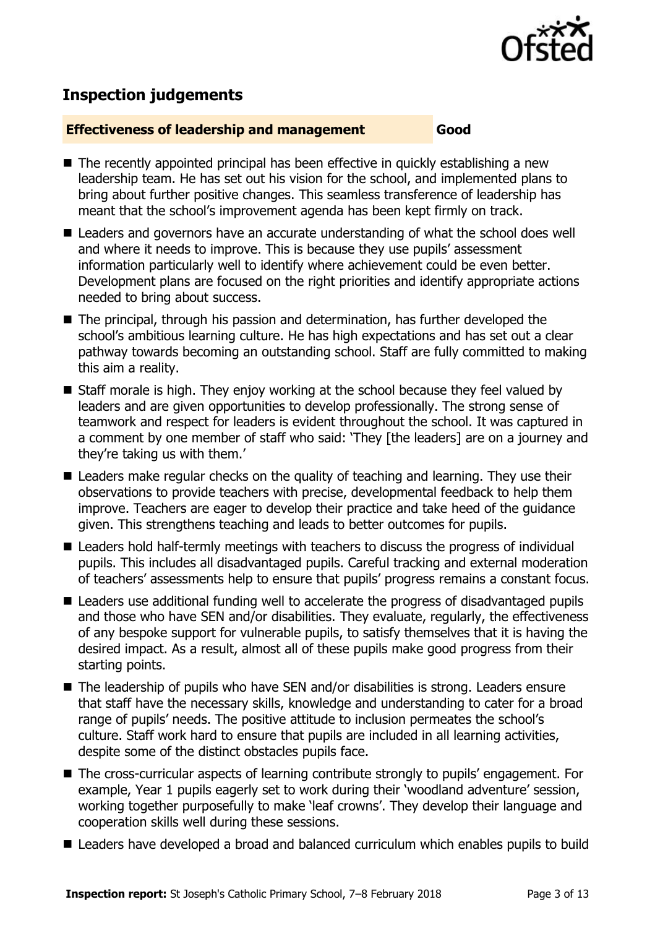

## **Inspection judgements**

#### **Effectiveness of leadership and management Good**

- The recently appointed principal has been effective in quickly establishing a new leadership team. He has set out his vision for the school, and implemented plans to bring about further positive changes. This seamless transference of leadership has meant that the school's improvement agenda has been kept firmly on track.
- Leaders and governors have an accurate understanding of what the school does well and where it needs to improve. This is because they use pupils' assessment information particularly well to identify where achievement could be even better. Development plans are focused on the right priorities and identify appropriate actions needed to bring about success.
- The principal, through his passion and determination, has further developed the school's ambitious learning culture. He has high expectations and has set out a clear pathway towards becoming an outstanding school. Staff are fully committed to making this aim a reality.
- Staff morale is high. They enjoy working at the school because they feel valued by leaders and are given opportunities to develop professionally. The strong sense of teamwork and respect for leaders is evident throughout the school. It was captured in a comment by one member of staff who said: 'They [the leaders] are on a journey and they're taking us with them.'
- Leaders make regular checks on the quality of teaching and learning. They use their observations to provide teachers with precise, developmental feedback to help them improve. Teachers are eager to develop their practice and take heed of the guidance given. This strengthens teaching and leads to better outcomes for pupils.
- Leaders hold half-termly meetings with teachers to discuss the progress of individual pupils. This includes all disadvantaged pupils. Careful tracking and external moderation of teachers' assessments help to ensure that pupils' progress remains a constant focus.
- Leaders use additional funding well to accelerate the progress of disadvantaged pupils and those who have SEN and/or disabilities. They evaluate, regularly, the effectiveness of any bespoke support for vulnerable pupils, to satisfy themselves that it is having the desired impact. As a result, almost all of these pupils make good progress from their starting points.
- The leadership of pupils who have SEN and/or disabilities is strong. Leaders ensure that staff have the necessary skills, knowledge and understanding to cater for a broad range of pupils' needs. The positive attitude to inclusion permeates the school's culture. Staff work hard to ensure that pupils are included in all learning activities, despite some of the distinct obstacles pupils face.
- The cross-curricular aspects of learning contribute strongly to pupils' engagement. For example, Year 1 pupils eagerly set to work during their 'woodland adventure' session, working together purposefully to make 'leaf crowns'. They develop their language and cooperation skills well during these sessions.
- Leaders have developed a broad and balanced curriculum which enables pupils to build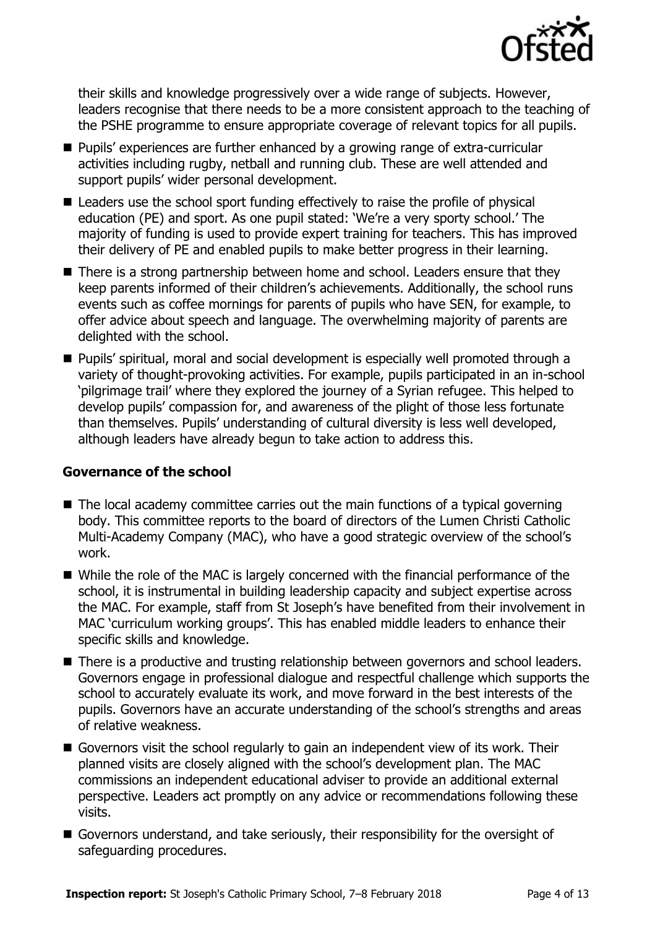

their skills and knowledge progressively over a wide range of subjects. However, leaders recognise that there needs to be a more consistent approach to the teaching of the PSHE programme to ensure appropriate coverage of relevant topics for all pupils.

- **Pupils'** experiences are further enhanced by a growing range of extra-curricular activities including rugby, netball and running club. These are well attended and support pupils' wider personal development.
- Leaders use the school sport funding effectively to raise the profile of physical education (PE) and sport. As one pupil stated: 'We're a very sporty school.' The majority of funding is used to provide expert training for teachers. This has improved their delivery of PE and enabled pupils to make better progress in their learning.
- There is a strong partnership between home and school. Leaders ensure that they keep parents informed of their children's achievements. Additionally, the school runs events such as coffee mornings for parents of pupils who have SEN, for example, to offer advice about speech and language. The overwhelming majority of parents are delighted with the school.
- **Pupils' spiritual, moral and social development is especially well promoted through a** variety of thought-provoking activities. For example, pupils participated in an in-school 'pilgrimage trail' where they explored the journey of a Syrian refugee. This helped to develop pupils' compassion for, and awareness of the plight of those less fortunate than themselves. Pupils' understanding of cultural diversity is less well developed, although leaders have already begun to take action to address this.

#### **Governance of the school**

- $\blacksquare$  The local academy committee carries out the main functions of a typical governing body. This committee reports to the board of directors of the Lumen Christi Catholic Multi-Academy Company (MAC), who have a good strategic overview of the school's work.
- While the role of the MAC is largely concerned with the financial performance of the school, it is instrumental in building leadership capacity and subject expertise across the MAC. For example, staff from St Joseph's have benefited from their involvement in MAC 'curriculum working groups'. This has enabled middle leaders to enhance their specific skills and knowledge.
- There is a productive and trusting relationship between governors and school leaders. Governors engage in professional dialogue and respectful challenge which supports the school to accurately evaluate its work, and move forward in the best interests of the pupils. Governors have an accurate understanding of the school's strengths and areas of relative weakness.
- Governors visit the school regularly to gain an independent view of its work. Their planned visits are closely aligned with the school's development plan. The MAC commissions an independent educational adviser to provide an additional external perspective. Leaders act promptly on any advice or recommendations following these visits.
- Governors understand, and take seriously, their responsibility for the oversight of safeguarding procedures.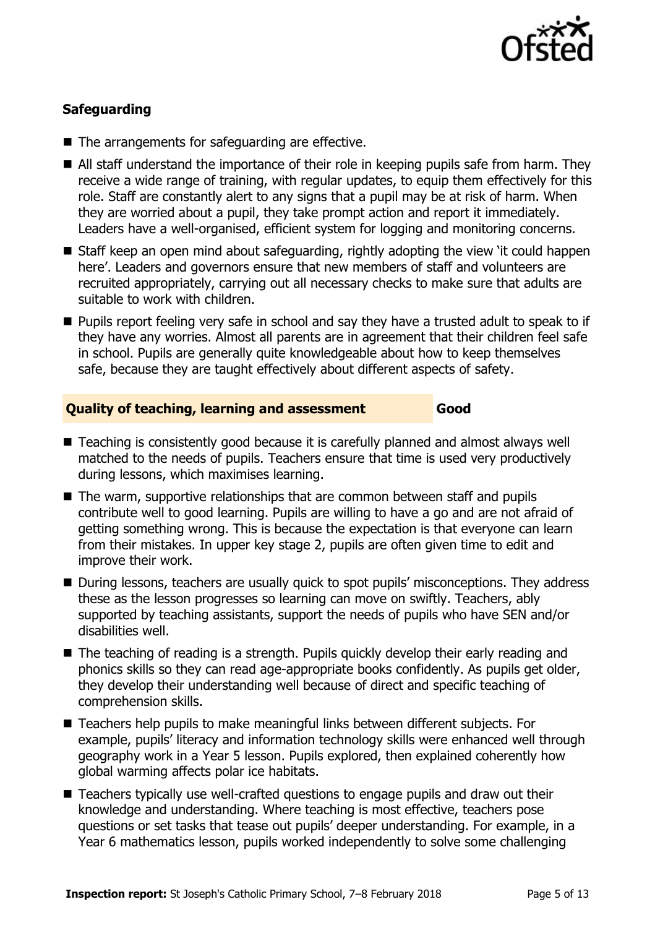

### **Safeguarding**

- $\blacksquare$  The arrangements for safeguarding are effective.
- All staff understand the importance of their role in keeping pupils safe from harm. They receive a wide range of training, with regular updates, to equip them effectively for this role. Staff are constantly alert to any signs that a pupil may be at risk of harm. When they are worried about a pupil, they take prompt action and report it immediately. Leaders have a well-organised, efficient system for logging and monitoring concerns.
- Staff keep an open mind about safeguarding, rightly adopting the view 'it could happen here'. Leaders and governors ensure that new members of staff and volunteers are recruited appropriately, carrying out all necessary checks to make sure that adults are suitable to work with children.
- **Pupils report feeling very safe in school and say they have a trusted adult to speak to if** they have any worries. Almost all parents are in agreement that their children feel safe in school. Pupils are generally quite knowledgeable about how to keep themselves safe, because they are taught effectively about different aspects of safety.

#### **Quality of teaching, learning and assessment Good**

- Teaching is consistently good because it is carefully planned and almost always well matched to the needs of pupils. Teachers ensure that time is used very productively during lessons, which maximises learning.
- The warm, supportive relationships that are common between staff and pupils contribute well to good learning. Pupils are willing to have a go and are not afraid of getting something wrong. This is because the expectation is that everyone can learn from their mistakes. In upper key stage 2, pupils are often given time to edit and improve their work.
- During lessons, teachers are usually quick to spot pupils' misconceptions. They address these as the lesson progresses so learning can move on swiftly. Teachers, ably supported by teaching assistants, support the needs of pupils who have SEN and/or disabilities well.
- The teaching of reading is a strength. Pupils quickly develop their early reading and phonics skills so they can read age-appropriate books confidently. As pupils get older, they develop their understanding well because of direct and specific teaching of comprehension skills.
- Teachers help pupils to make meaningful links between different subjects. For example, pupils' literacy and information technology skills were enhanced well through geography work in a Year 5 lesson. Pupils explored, then explained coherently how global warming affects polar ice habitats.
- Teachers typically use well-crafted questions to engage pupils and draw out their knowledge and understanding. Where teaching is most effective, teachers pose questions or set tasks that tease out pupils' deeper understanding. For example, in a Year 6 mathematics lesson, pupils worked independently to solve some challenging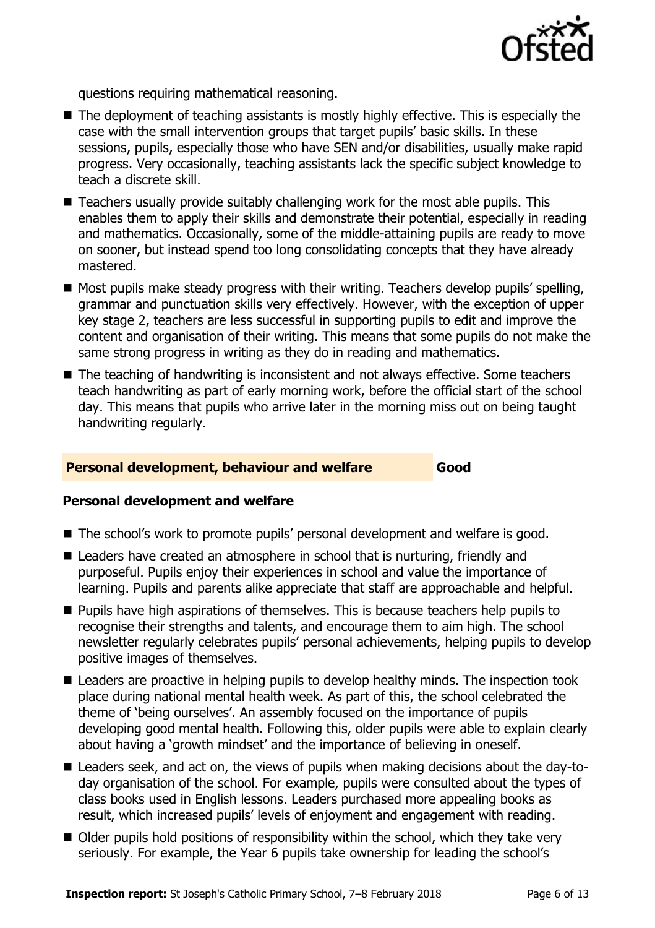

questions requiring mathematical reasoning.

- The deployment of teaching assistants is mostly highly effective. This is especially the case with the small intervention groups that target pupils' basic skills. In these sessions, pupils, especially those who have SEN and/or disabilities, usually make rapid progress. Very occasionally, teaching assistants lack the specific subject knowledge to teach a discrete skill.
- $\blacksquare$  Teachers usually provide suitably challenging work for the most able pupils. This enables them to apply their skills and demonstrate their potential, especially in reading and mathematics. Occasionally, some of the middle-attaining pupils are ready to move on sooner, but instead spend too long consolidating concepts that they have already mastered.
- Most pupils make steady progress with their writing. Teachers develop pupils' spelling, grammar and punctuation skills very effectively. However, with the exception of upper key stage 2, teachers are less successful in supporting pupils to edit and improve the content and organisation of their writing. This means that some pupils do not make the same strong progress in writing as they do in reading and mathematics.
- The teaching of handwriting is inconsistent and not always effective. Some teachers teach handwriting as part of early morning work, before the official start of the school day. This means that pupils who arrive later in the morning miss out on being taught handwriting regularly.

#### **Personal development, behaviour and welfare Good**

#### **Personal development and welfare**

- The school's work to promote pupils' personal development and welfare is good.
- Leaders have created an atmosphere in school that is nurturing, friendly and purposeful. Pupils enjoy their experiences in school and value the importance of learning. Pupils and parents alike appreciate that staff are approachable and helpful.
- **Pupils have high aspirations of themselves. This is because teachers help pupils to** recognise their strengths and talents, and encourage them to aim high. The school newsletter regularly celebrates pupils' personal achievements, helping pupils to develop positive images of themselves.
- Leaders are proactive in helping pupils to develop healthy minds. The inspection took place during national mental health week. As part of this, the school celebrated the theme of 'being ourselves'. An assembly focused on the importance of pupils developing good mental health. Following this, older pupils were able to explain clearly about having a 'growth mindset' and the importance of believing in oneself.
- Leaders seek, and act on, the views of pupils when making decisions about the day-today organisation of the school. For example, pupils were consulted about the types of class books used in English lessons. Leaders purchased more appealing books as result, which increased pupils' levels of enjoyment and engagement with reading.
- Older pupils hold positions of responsibility within the school, which they take very seriously. For example, the Year 6 pupils take ownership for leading the school's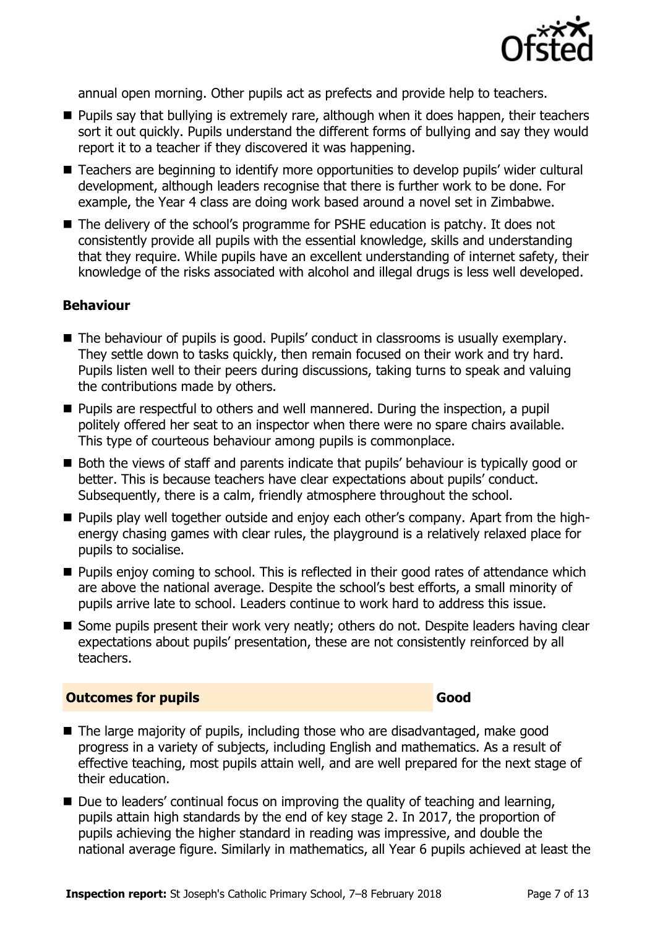

annual open morning. Other pupils act as prefects and provide help to teachers.

- **Pupils say that bullying is extremely rare, although when it does happen, their teachers** sort it out quickly. Pupils understand the different forms of bullying and say they would report it to a teacher if they discovered it was happening.
- Teachers are beginning to identify more opportunities to develop pupils' wider cultural development, although leaders recognise that there is further work to be done. For example, the Year 4 class are doing work based around a novel set in Zimbabwe.
- The delivery of the school's programme for PSHE education is patchy. It does not consistently provide all pupils with the essential knowledge, skills and understanding that they require. While pupils have an excellent understanding of internet safety, their knowledge of the risks associated with alcohol and illegal drugs is less well developed.

#### **Behaviour**

- The behaviour of pupils is good. Pupils' conduct in classrooms is usually exemplary. They settle down to tasks quickly, then remain focused on their work and try hard. Pupils listen well to their peers during discussions, taking turns to speak and valuing the contributions made by others.
- **Pupils are respectful to others and well mannered. During the inspection, a pupil** politely offered her seat to an inspector when there were no spare chairs available. This type of courteous behaviour among pupils is commonplace.
- Both the views of staff and parents indicate that pupils' behaviour is typically good or better. This is because teachers have clear expectations about pupils' conduct. Subsequently, there is a calm, friendly atmosphere throughout the school.
- **Pupils play well together outside and enjoy each other's company. Apart from the high**energy chasing games with clear rules, the playground is a relatively relaxed place for pupils to socialise.
- **Pupils enjoy coming to school. This is reflected in their good rates of attendance which** are above the national average. Despite the school's best efforts, a small minority of pupils arrive late to school. Leaders continue to work hard to address this issue.
- Some pupils present their work very neatly; others do not. Despite leaders having clear expectations about pupils' presentation, these are not consistently reinforced by all teachers.

#### **Outcomes for pupils Good**

- The large majority of pupils, including those who are disadvantaged, make good progress in a variety of subjects, including English and mathematics. As a result of effective teaching, most pupils attain well, and are well prepared for the next stage of their education.
- $\blacksquare$  Due to leaders' continual focus on improving the quality of teaching and learning, pupils attain high standards by the end of key stage 2. In 2017, the proportion of pupils achieving the higher standard in reading was impressive, and double the national average figure. Similarly in mathematics, all Year 6 pupils achieved at least the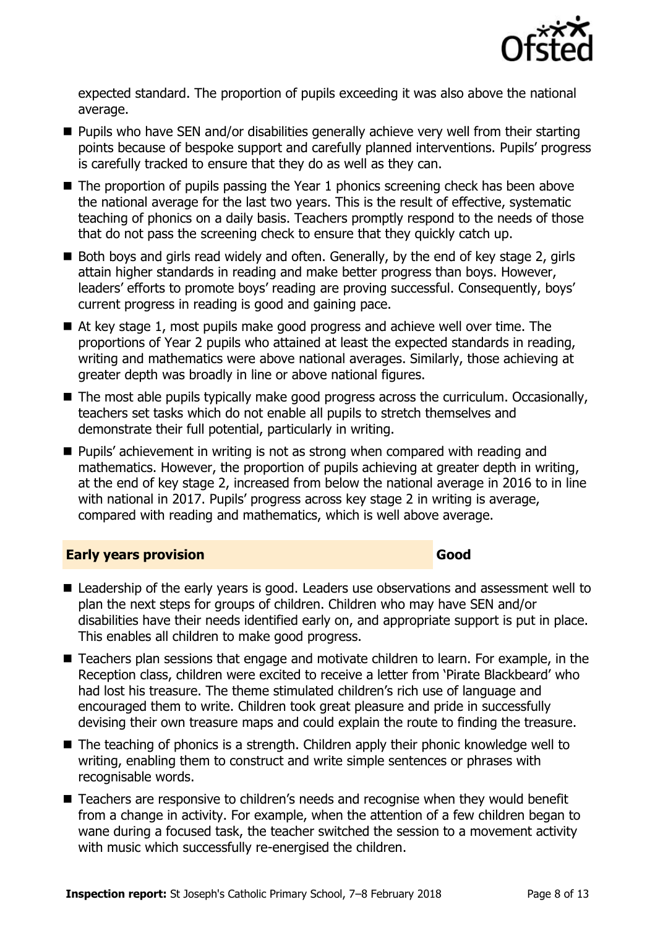

expected standard. The proportion of pupils exceeding it was also above the national average.

- Pupils who have SEN and/or disabilities generally achieve very well from their starting points because of bespoke support and carefully planned interventions. Pupils' progress is carefully tracked to ensure that they do as well as they can.
- The proportion of pupils passing the Year 1 phonics screening check has been above the national average for the last two years. This is the result of effective, systematic teaching of phonics on a daily basis. Teachers promptly respond to the needs of those that do not pass the screening check to ensure that they quickly catch up.
- Both boys and girls read widely and often. Generally, by the end of key stage 2, girls attain higher standards in reading and make better progress than boys. However, leaders' efforts to promote boys' reading are proving successful. Consequently, boys' current progress in reading is good and gaining pace.
- At key stage 1, most pupils make good progress and achieve well over time. The proportions of Year 2 pupils who attained at least the expected standards in reading, writing and mathematics were above national averages. Similarly, those achieving at greater depth was broadly in line or above national figures.
- The most able pupils typically make good progress across the curriculum. Occasionally, teachers set tasks which do not enable all pupils to stretch themselves and demonstrate their full potential, particularly in writing.
- **Pupils'** achievement in writing is not as strong when compared with reading and mathematics. However, the proportion of pupils achieving at greater depth in writing, at the end of key stage 2, increased from below the national average in 2016 to in line with national in 2017. Pupils' progress across key stage 2 in writing is average, compared with reading and mathematics, which is well above average.

#### **Early years provision Good Good**

- Leadership of the early years is good. Leaders use observations and assessment well to plan the next steps for groups of children. Children who may have SEN and/or disabilities have their needs identified early on, and appropriate support is put in place. This enables all children to make good progress.
- Teachers plan sessions that engage and motivate children to learn. For example, in the Reception class, children were excited to receive a letter from 'Pirate Blackbeard' who had lost his treasure. The theme stimulated children's rich use of language and encouraged them to write. Children took great pleasure and pride in successfully devising their own treasure maps and could explain the route to finding the treasure.
- The teaching of phonics is a strength. Children apply their phonic knowledge well to writing, enabling them to construct and write simple sentences or phrases with recognisable words.
- Teachers are responsive to children's needs and recognise when they would benefit from a change in activity. For example, when the attention of a few children began to wane during a focused task, the teacher switched the session to a movement activity with music which successfully re-energised the children.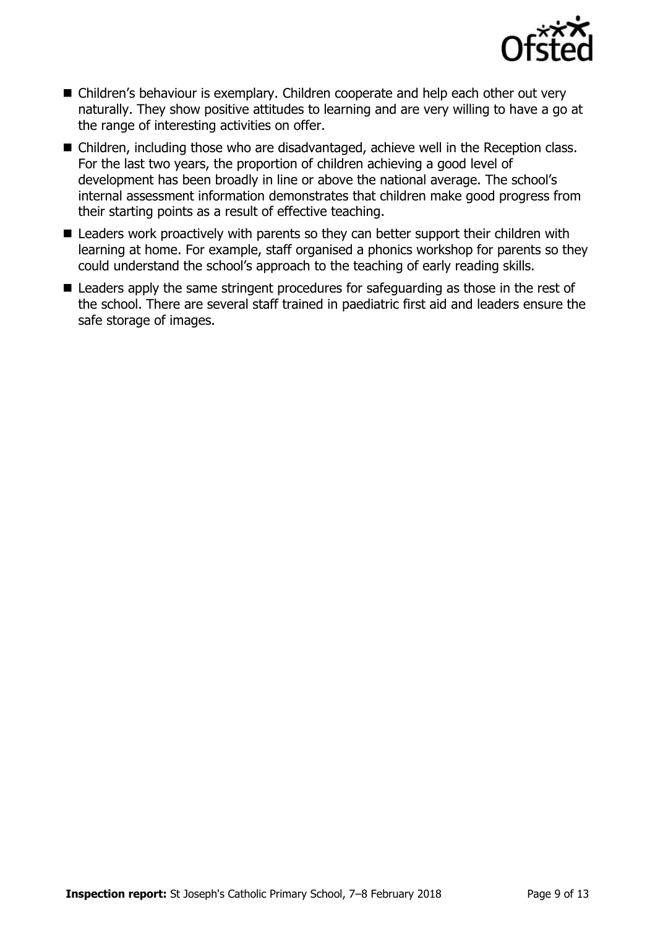

- Children's behaviour is exemplary. Children cooperate and help each other out very naturally. They show positive attitudes to learning and are very willing to have a go at the range of interesting activities on offer.
- Children, including those who are disadvantaged, achieve well in the Reception class. For the last two years, the proportion of children achieving a good level of development has been broadly in line or above the national average. The school's internal assessment information demonstrates that children make good progress from their starting points as a result of effective teaching.
- Leaders work proactively with parents so they can better support their children with learning at home. For example, staff organised a phonics workshop for parents so they could understand the school's approach to the teaching of early reading skills.
- Leaders apply the same stringent procedures for safeguarding as those in the rest of the school. There are several staff trained in paediatric first aid and leaders ensure the safe storage of images.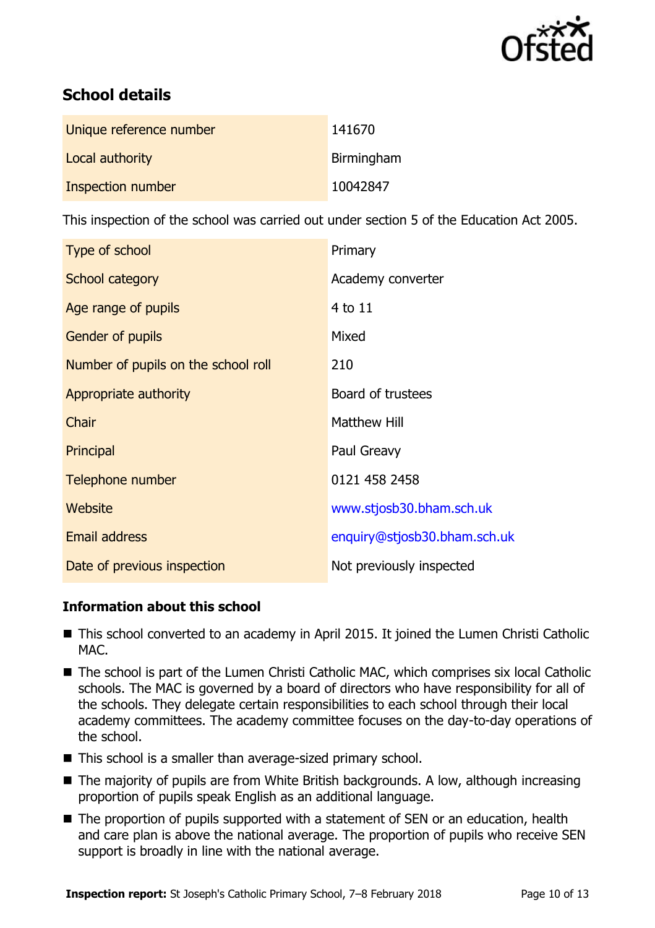

# **School details**

| Unique reference number | 141670     |
|-------------------------|------------|
| Local authority         | Birmingham |
| Inspection number       | 10042847   |

This inspection of the school was carried out under section 5 of the Education Act 2005.

| Type of school                      | Primary                      |
|-------------------------------------|------------------------------|
| School category                     | Academy converter            |
| Age range of pupils                 | 4 to 11                      |
| Gender of pupils                    | Mixed                        |
| Number of pupils on the school roll | 210                          |
| Appropriate authority               | Board of trustees            |
| Chair                               | <b>Matthew Hill</b>          |
| Principal                           | Paul Greavy                  |
| Telephone number                    | 0121 458 2458                |
| Website                             | www.stjosb30.bham.sch.uk     |
| <b>Email address</b>                | enquiry@stjosb30.bham.sch.uk |
| Date of previous inspection         | Not previously inspected     |

#### **Information about this school**

- This school converted to an academy in April 2015. It joined the Lumen Christi Catholic MAC.
- The school is part of the Lumen Christi Catholic MAC, which comprises six local Catholic schools. The MAC is governed by a board of directors who have responsibility for all of the schools. They delegate certain responsibilities to each school through their local academy committees. The academy committee focuses on the day-to-day operations of the school.
- This school is a smaller than average-sized primary school.
- The majority of pupils are from White British backgrounds. A low, although increasing proportion of pupils speak English as an additional language.
- The proportion of pupils supported with a statement of SEN or an education, health and care plan is above the national average. The proportion of pupils who receive SEN support is broadly in line with the national average.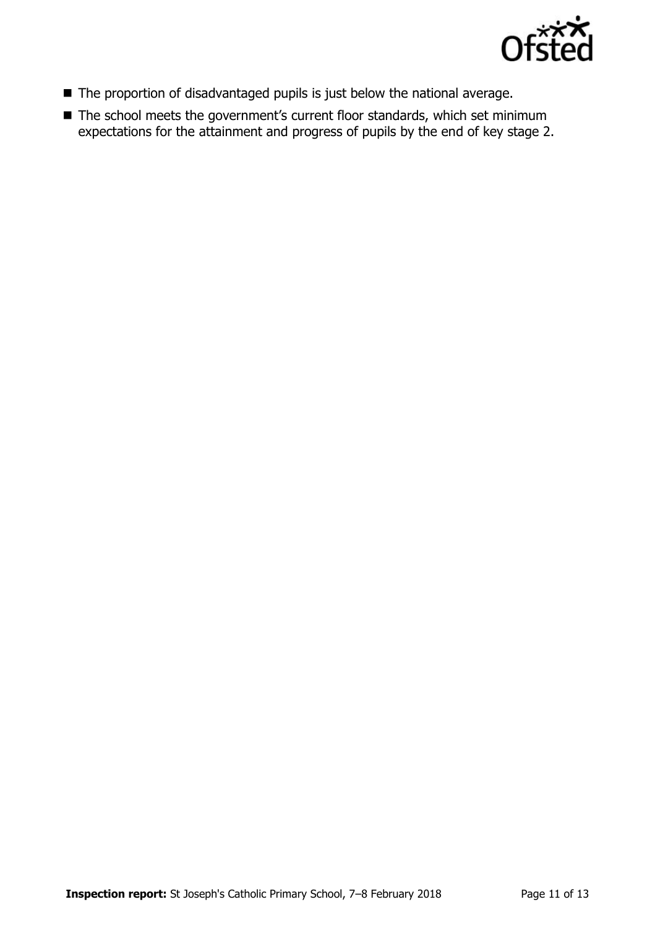

- The proportion of disadvantaged pupils is just below the national average.
- The school meets the government's current floor standards, which set minimum expectations for the attainment and progress of pupils by the end of key stage 2.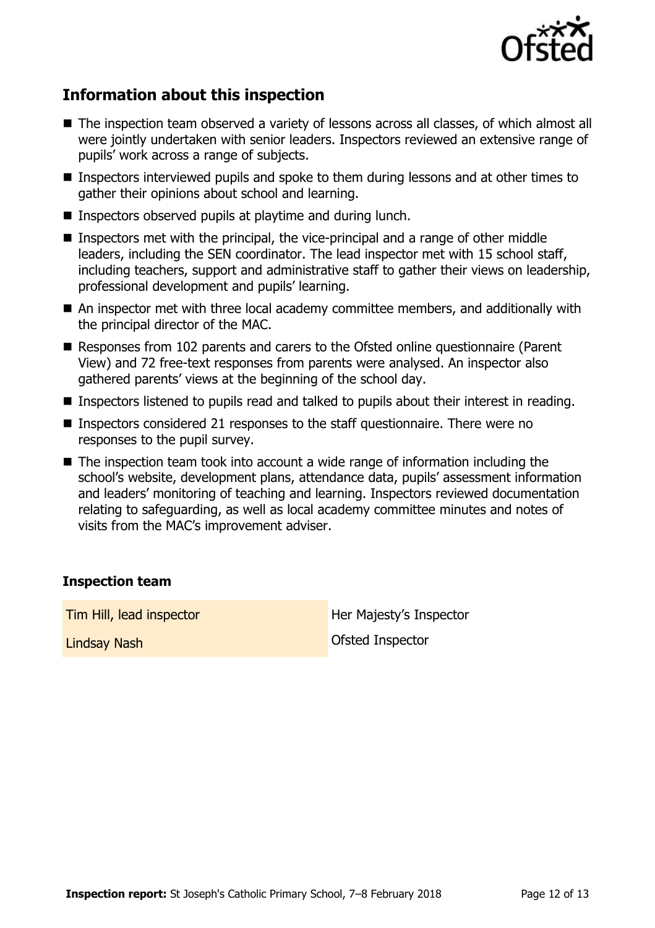

# **Information about this inspection**

- The inspection team observed a variety of lessons across all classes, of which almost all were jointly undertaken with senior leaders. Inspectors reviewed an extensive range of pupils' work across a range of subjects.
- Inspectors interviewed pupils and spoke to them during lessons and at other times to gather their opinions about school and learning.
- Inspectors observed pupils at playtime and during lunch.
- Inspectors met with the principal, the vice-principal and a range of other middle leaders, including the SEN coordinator. The lead inspector met with 15 school staff, including teachers, support and administrative staff to gather their views on leadership, professional development and pupils' learning.
- An inspector met with three local academy committee members, and additionally with the principal director of the MAC.
- Responses from 102 parents and carers to the Ofsted online questionnaire (Parent View) and 72 free-text responses from parents were analysed. An inspector also gathered parents' views at the beginning of the school day.
- Inspectors listened to pupils read and talked to pupils about their interest in reading.
- Inspectors considered 21 responses to the staff questionnaire. There were no responses to the pupil survey.
- The inspection team took into account a wide range of information including the school's website, development plans, attendance data, pupils' assessment information and leaders' monitoring of teaching and learning. Inspectors reviewed documentation relating to safeguarding, as well as local academy committee minutes and notes of visits from the MAC's improvement adviser.

#### **Inspection team**

**Tim Hill, lead inspector Her Majesty's Inspector** Lindsay Nash Ofsted Inspector